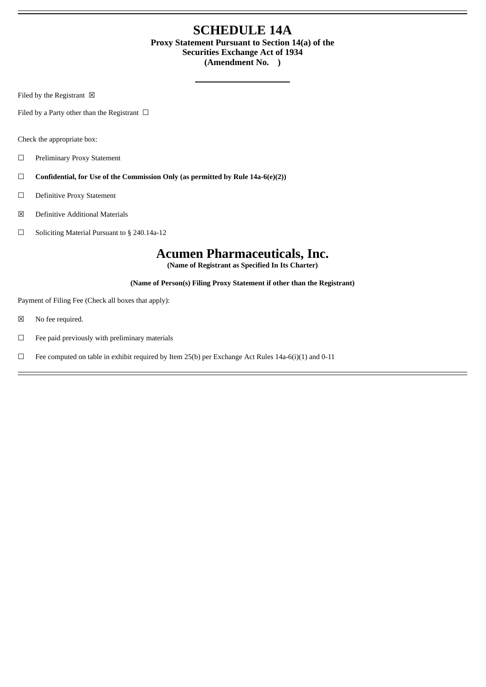## **SCHEDULE 14A Proxy Statement Pursuant to Section 14(a) of the Securities Exchange Act of 1934 (Amendment No. )**

Filed by the Registrant  $\boxtimes$ 

Filed by a Party other than the Registrant  $\Box$ 

Check the appropriate box:

- ☐ Preliminary Proxy Statement
- ☐ **Confidential, for Use of the Commission Only (as permitted by Rule 14a-6(e)(2))**
- ☐ Definitive Proxy Statement
- ☒ Definitive Additional Materials
- ☐ Soliciting Material Pursuant to § 240.14a-12

# **Acumen Pharmaceuticals, Inc.**

**(Name of Registrant as Specified In Its Charter)**

**(Name of Person(s) Filing Proxy Statement if other than the Registrant)**

Payment of Filing Fee (Check all boxes that apply):

- ☒ No fee required.
- $□$  Fee paid previously with preliminary materials
- $\Box$  Fee computed on table in exhibit required by Item 25(b) per Exchange Act Rules 14a-6(i)(1) and 0-11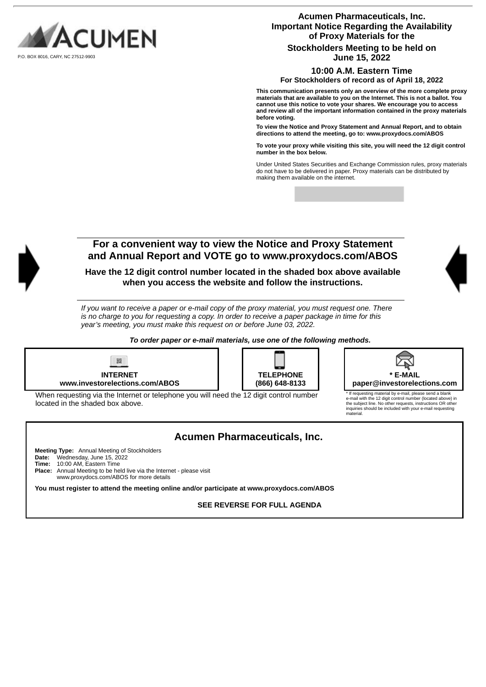

**Acumen Pharmaceuticals, Inc. Important Notice Regarding the Availability of Proxy Materials for the Stockholders Meeting to be held on June 15, 2022**

### **10:00 A.M. Eastern Time**

**For Stockholders of record as of April 18, 2022**

**This communication presents only an overview of the more complete proxy materials that are available to you on the Internet. This is not a ballot. You cannot use this notice to vote your shares. We encourage you to access and review all of the important information contained in the proxy materials before voting.**

**To view the Notice and Proxy Statement and Annual Report, and to obtain directions to attend the meeting, go to: www.proxydocs.com/ABOS**

**To vote your proxy while visiting this site, you will need the 12 digit control number in the box below.**

Under United States Securities and Exchange Commission rules, proxy materials do not have to be delivered in paper. Proxy materials can be distributed by making them available on the internet.



### **For a convenient way to view the Notice and Proxy Statement and Annual Report and VOTE go to www.proxydocs.com/ABOS**

**Have the 12 digit control number located in the shaded box above available when you access the website and follow the instructions.**

If you want to receive a paper or e-mail copy of the proxy material, you must request one. There is no charge to you for requesting a copy. In order to receive a paper package in time for this *year's meeting, you must make this request on or before June 03, 2022.*

*To order paper or e-mail materials, use one of the following methods.*



| <b>TELEPHONE</b> |
|------------------|
| (866) 648-8133   |



\* If requesting material by e-mail, please send a blank e-mail with the 12 digit control number (located above) in the subject line. No other requests, instructions OR other inquiries should be included with your e-mail requesting .<br>aterial

| When requesting via the Internet or telephone you will need the 12 digit control number<br>located in the shaded box above. | * If<br>$e-1$<br>the<br>ing<br>ma |
|-----------------------------------------------------------------------------------------------------------------------------|-----------------------------------|
|                                                                                                                             |                                   |

# **Acumen Pharmaceuticals, Inc.**

**Meeting Type:** Annual Meeting of Stockholders **Date:** Wednesday, June 15, 2022 **Time:** 10:00 AM, Eastern Time **Place:** Annual Meeting to be held live via the Internet - please visit www.proxydocs.com/ABOS for more details

**You must register to attend the meeting online and/or participate at www.proxydocs.com/ABOS**

**SEE REVERSE FOR FULL AGENDA**